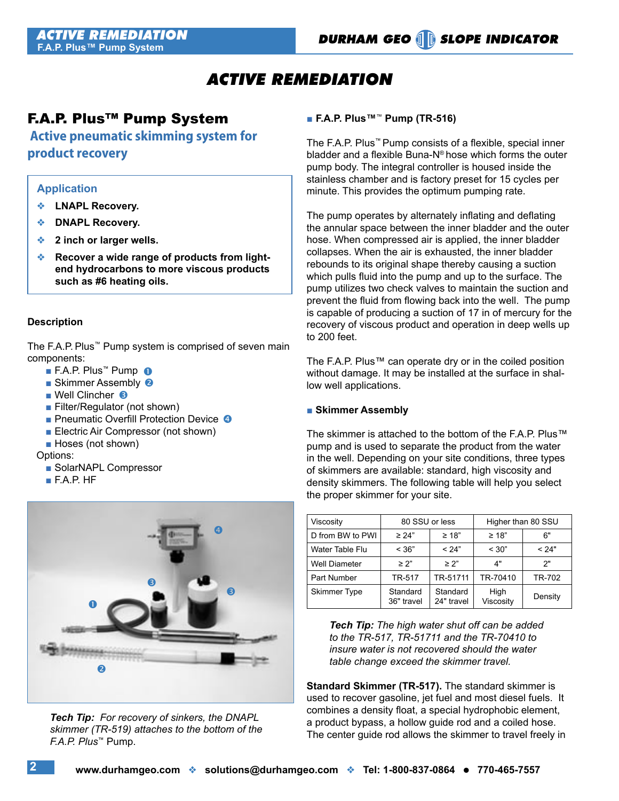## *ACTIVE REMEDIATION*

### F.A.P. Plus™ Pump System

 **Active pneumatic skimming system for product recovery**

#### **Application**

- **LNAPL Recovery.**
- **DNAPL Recovery.**
- **2 inch or larger wells.**
- **EXECTED PROPERTY Recover a wide range of products from lightend hydrocarbons to more viscous products such as #6 heating oils.**

#### **Description**

The F.A.P. Plus™ Pump system is comprised of seven main components:

- F.A.P. Plus™ Pump ●
- Skimmer Assembly <sup>2</sup>
- Well Clincher **8** 
	- Filter/Regulator (not shown)
- Pneumatic Overfill Protection Device
	- Electric Air Compressor (not shown)
	- Hoses (not shown)

Options:

- SolarNAPL Compressor
- F.A.P. HF



*Tech Tip: For recovery of sinkers, the DNAPL skimmer (TR-519) attaches to the bottom of the F.A.P. Plus*™ Pump.

#### ■ **F.A.P. Plus™**™ **Pump (TR-516)**

The F.A.P. Plus™ Pump consists of a flexible, special inner bladder and a flexible Buna-N® hose which forms the outer pump body. The integral controller is housed inside the stainless chamber and is factory preset for 15 cycles per minute. This provides the optimum pumping rate.

The pump operates by alternately inflating and deflating the annular space between the inner bladder and the outer hose. When compressed air is applied, the inner bladder collapses. When the air is exhausted, the inner bladder rebounds to its original shape thereby causing a suction which pulls fluid into the pump and up to the surface. The pump utilizes two check valves to maintain the suction and prevent the fluid from flowing back into the well. The pump is capable of producing a suction of 17 in of mercury for the recovery of viscous product and operation in deep wells up to 200 feet.

The F.A.P. Plus™ can operate dry or in the coiled position without damage. It may be installed at the surface in shallow well applications.

#### ■ **Skimmer Assembly**

The skimmer is attached to the bottom of the F.A.P. Plus™ pump and is used to separate the product from the water in the well. Depending on your site conditions, three types of skimmers are available: standard, high viscosity and density skimmers. The following table will help you select the proper skimmer for your site.

| Viscosity           | 80 SSU or less         |                        | Higher than 80 SSU |         |
|---------------------|------------------------|------------------------|--------------------|---------|
| D from BW to PWI    | $\geq 24"$             | $\geq 18"$             | $\geq 18$ "        | 6"      |
| Water Table Flu     | < 36"                  | < 24"                  | < 30"              | < 24"   |
| Well Diameter       | $\geq$ 2"              | > 2"                   | 4"                 | ን"      |
| Part Number         | TR-517                 | TR-51711               | TR-70410           | TR-702  |
| <b>Skimmer Type</b> | Standard<br>36" travel | Standard<br>24" travel | High<br>Viscosity  | Density |

*Tech Tip: The high water shut off can be added to the TR-517, TR-51711 and the TR-70410 to insure water is not recovered should the water table change exceed the skimmer travel.*

**Standard Skimmer (TR-517).** The standard skimmer is used to recover gasoline, jet fuel and most diesel fuels. It combines a density float, a special hydrophobic element, a product bypass, a hollow guide rod and a coiled hose. The center guide rod allows the skimmer to travel freely in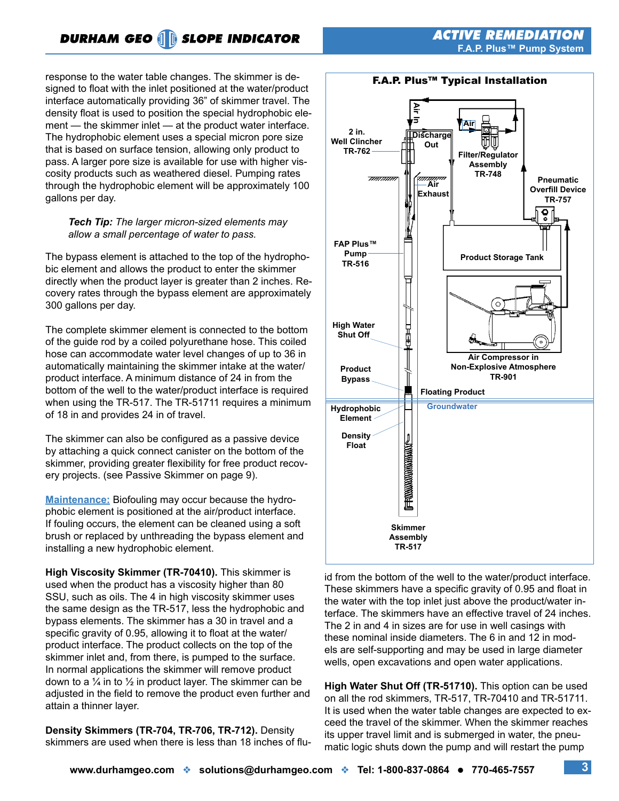response to the water table changes. The skimmer is designed to float with the inlet positioned at the water/product interface automatically providing 36" of skimmer travel. The density float is used to position the special hydrophobic element — the skimmer inlet — at the product water interface. The hydrophobic element uses a special micron pore size that is based on surface tension, allowing only product to pass. A larger pore size is available for use with higher viscosity products such as weathered diesel. Pumping rates through the hydrophobic element will be approximately 100 gallons per day.

#### *Tech Tip: The larger micron-sized elements may allow a small percentage of water to pass.*

The bypass element is attached to the top of the hydrophobic element and allows the product to enter the skimmer directly when the product layer is greater than 2 inches. Recovery rates through the bypass element are approximately 300 gallons per day.

The complete skimmer element is connected to the bottom of the guide rod by a coiled polyurethane hose. This coiled hose can accommodate water level changes of up to 36 in automatically maintaining the skimmer intake at the water/ product interface. A minimum distance of 24 in from the bottom of the well to the water/product interface is required when using the TR-517. The TR-51711 requires a minimum of 18 in and provides 24 in of travel.

The skimmer can also be configured as a passive device by attaching a quick connect canister on the bottom of the skimmer, providing greater flexibility for free product recovery projects. (see Passive Skimmer on page 9).

**Maintenance:** Biofouling may occur because the hydrophobic element is positioned at the air/product interface. If fouling occurs, the element can be cleaned using a soft brush or replaced by unthreading the bypass element and installing a new hydrophobic element.

**High Viscosity Skimmer (TR-70410).** This skimmer is used when the product has a viscosity higher than 80 SSU, such as oils. The 4 in high viscosity skimmer uses the same design as the TR-517, less the hydrophobic and bypass elements. The skimmer has a 30 in travel and a specific gravity of 0.95, allowing it to float at the water/ product interface. The product collects on the top of the skimmer inlet and, from there, is pumped to the surface. In normal applications the skimmer will remove product down to a  $\frac{1}{4}$  in to  $\frac{1}{2}$  in product layer. The skimmer can be adjusted in the field to remove the product even further and attain a thinner layer.

**Density Skimmers (TR-704, TR-706, TR-712).** Density skimmers are used when there is less than 18 inches of flu-



id from the bottom of the well to the water/product interface. These skimmers have a specific gravity of 0.95 and float in the water with the top inlet just above the product/water interface. The skimmers have an effective travel of 24 inches. The 2 in and 4 in sizes are for use in well casings with these nominal inside diameters. The 6 in and 12 in models are self-supporting and may be used in large diameter wells, open excavations and open water applications.

**High Water Shut Off (TR-51710).** This option can be used on all the rod skimmers, TR-517, TR-70410 and TR-51711. It is used when the water table changes are expected to exceed the travel of the skimmer. When the skimmer reaches its upper travel limit and is submerged in water, the pneumatic logic shuts down the pump and will restart the pump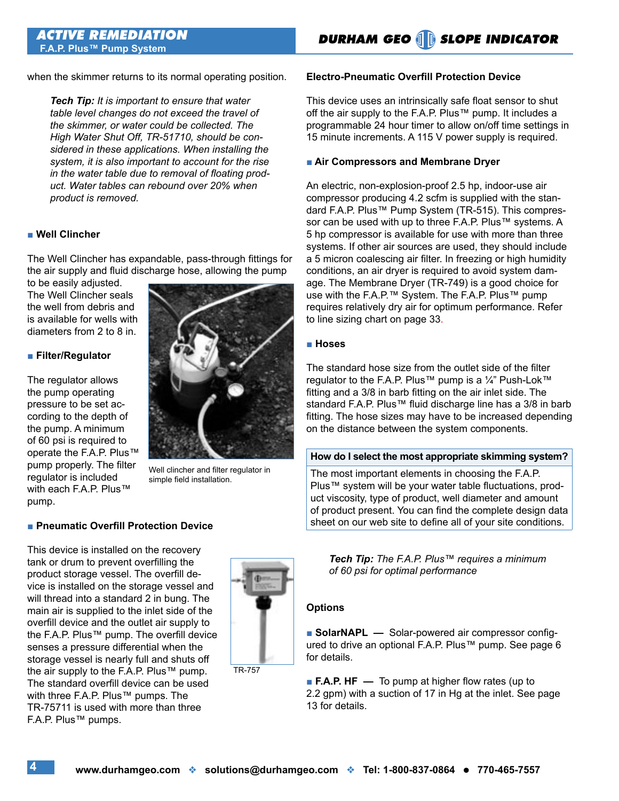when the skimmer returns to its normal operating position.

*Tech Tip: It is important to ensure that water table level changes do not exceed the travel of the skimmer, or water could be collected. The High Water Shut Off, TR-51710, should be considered in these applications. When installing the system, it is also important to account for the rise in the water table due to removal of floating product. Water tables can rebound over 20% when product is removed.*

#### ■ Well Clincher

The Well Clincher has expandable, pass-through fittings for the air supply and fluid discharge hose, allowing the pump

to be easily adjusted. The Well Clincher seals the well from debris and is available for wells with diameters from 2 to 8 in.

#### ■ **Filter/Regulator**

The regulator allows the pump operating pressure to be set according to the depth of the pump. A minimum of 60 psi is required to operate the F.A.P. Plus™ pump properly. The filter regulator is included with each F.A.P. Plus™ pump.



Well clincher and filter regulator in simple field installation.

#### ■ **Pneumatic Overfill Protection Device**

This device is installed on the recovery tank or drum to prevent overfilling the product storage vessel. The overfill device is installed on the storage vessel and will thread into a standard 2 in bung. The main air is supplied to the inlet side of the overfill device and the outlet air supply to the F.A.P. Plus™ pump. The overfill device senses a pressure differential when the storage vessel is nearly full and shuts off the air supply to the F.A.P. Plus™ pump. The standard overfill device can be used with three F.A.P. Plus™ pumps. The TR-75711 is used with more than three F.A.P. Plus™ pumps.



TR-757

#### **Electro-Pneumatic Overfill Protection Device**

This device uses an intrinsically safe float sensor to shut off the air supply to the F.A.P. Plus™ pump. It includes a programmable 24 hour timer to allow on/off time settings in 15 minute increments. A 115 V power supply is required.

#### ■ Air Compressors and Membrane Dryer

An electric, non-explosion-proof 2.5 hp, indoor-use air compressor producing 4.2 scfm is supplied with the standard F.A.P. Plus™ Pump System (TR-515). This compressor can be used with up to three F.A.P. Plus™ systems. A 5 hp compressor is available for use with more than three systems. If other air sources are used, they should include a 5 micron coalescing air filter. In freezing or high humidity conditions, an air dryer is required to avoid system damage. The Membrane Dryer (TR-749) is a good choice for use with the F.A.P.™ System. The F.A.P. Plus™ pump requires relatively dry air for optimum performance. Refer to line sizing chart on page 33.

#### ■ **Hoses**

The standard hose size from the outlet side of the filter regulator to the F.A.P. Plus™ pump is a 1⁄4" Push-Lok™ fitting and a 3/8 in barb fitting on the air inlet side. The standard F.A.P. Plus™ fluid discharge line has a 3/8 in barb fitting. The hose sizes may have to be increased depending on the distance between the system components.

#### **How do I select the most appropriate skimming system?**

The most important elements in choosing the F.A.P. Plus™ system will be your water table fluctuations, product viscosity, type of product, well diameter and amount of product present. You can find the complete design data sheet on our web site to define all of your site conditions.

*Tech Tip: The F.A.P. Plus™ requires a minimum of 60 psi for optimal performance*

#### **Options**

■ **SolarNAPL —** Solar-powered air compressor configured to drive an optional F.A.P. Plus™ pump. See page 6 for details.

■ **F.A.P. HF** — To pump at higher flow rates (up to 2.2 gpm) with a suction of 17 in Hg at the inlet. See page 13 for details.